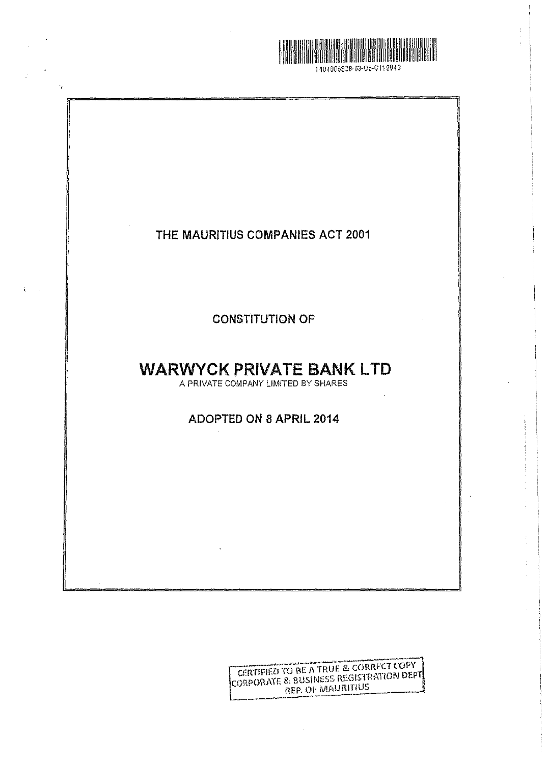



CONSTITUTION OF

# WARWYCK PRIVATE BANK LTD

A PRIVATE COMPANY LIMITED BY SHARES

## ADOPTED ON 8 APRIL 2014

**CERTIFIED TO BE A TRUE & CORRECT COPY** CERTIFIED TO BE A TRUE & CORRECT COT.<br>CORPORATE & BUSINESS REGISTRATION DEPT E & BOSHNESS REGISTRI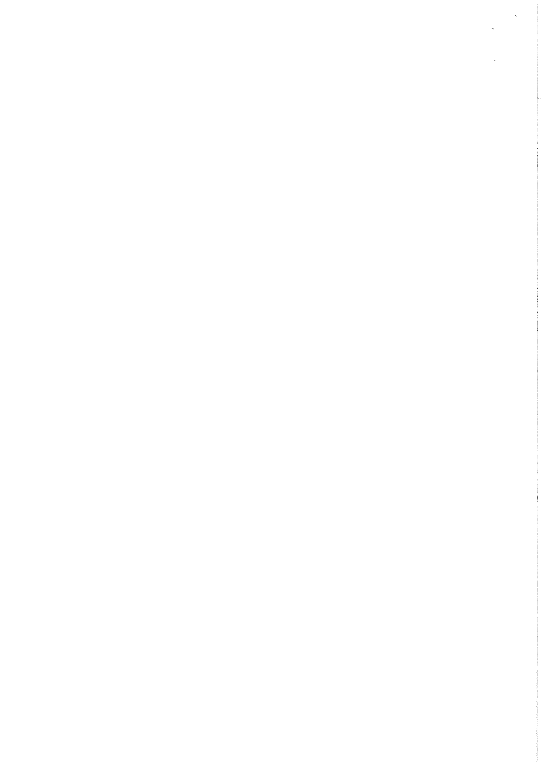$\label{eq:1} \frac{1}{\sqrt{2\pi}}\int_{0}^{\pi} \frac{d\mu}{\sqrt{2\pi}}\,d\mu$  and  $\sim 10^{-1}$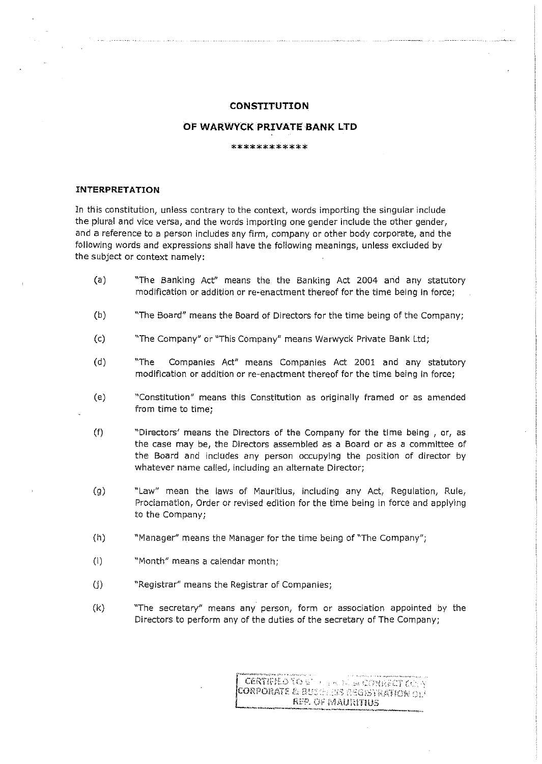## **CONSTITUTION**

## **OF WARWYCK PRIVATE BANK LTD**

\*\*\*\*\*\*\*\*\*\*\*

#### **INTERPRETATION**

In this constitution, unless contrary to the context, words importing the singular include the plural and vice versa, and the words importing one gender include the other gender, and a reference to a person includes any firm, company or other body corporate, and the following words and expressions shall have the following meanings, unless excluded by the subject or context namely:

- (a) "The Banking Act" means the the Banking Act 2004 and any statutory modification or addition or re-enactment thereof for the time being In force;
- (b) "The Board" means the Board of Directors for the time being of the Company;
- (c) "The Company" or "This Company" means Warwyck Private Bank Ltd;
- (d) "The Companies Act" means Companies Act 2001 and any statutory modification or addition or re-enactment thereof for the time being in force;
- (e) "Constitution" means this Constitution as originally framed or as amended from time to time;
- (f) "Directors' means the Directors of the Company for the time being , or, as the case may be, the Directors assembled as a Board or as a committee of the Board and includes any person occupying the position of director by whatever name called, including an alternate Director;
- (g) "Law" mean the laws of Mauritius, including any Act, Regulation, Rule, Proclamation, Order or revised edition for the time being in force and applying to the Company;
- (h) "Manager" means the Manager for the time being of "The Company";
- (i) "Month" means a calendar month;
- (j) "Registrar" means the Registrar of Companies;
- (k) "The secretary" means any person, form or association appointed by the Directors to perform any of the duties of the secretary of The Company;

CERTIFICO STELLA DI MECHANICO CON CORPORATE & BUSINERS BEGISTRATION DU REP. OF MAURITIUS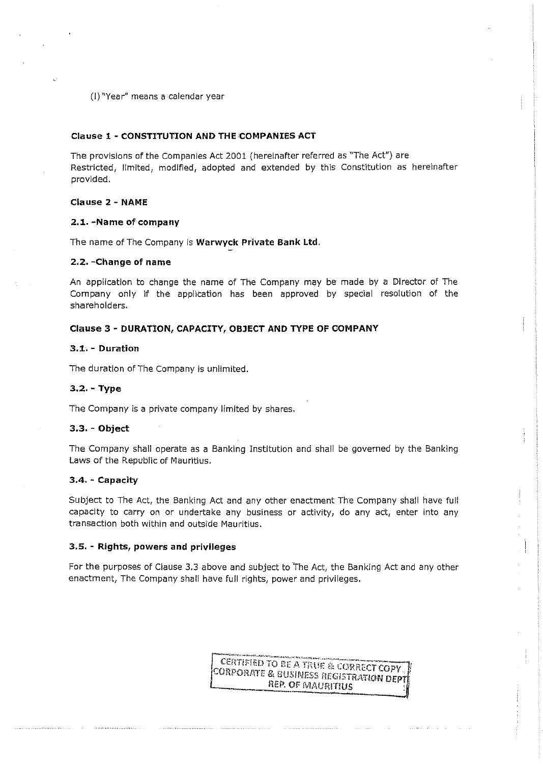(I) "Year" means a calendar year

## **Clause 1 -CONSTITUTION AND THE COMPANIES ACT**

The provisions of the Companies Act 2001 (hereinafter referred as "The Act") are Restricted, limited, modified, adopted and extended by this Constitution as hereinafter provided.

#### **Clause 2- NAME**

#### **2.1. -Name of company**

The name of The Company is **Warwyck Private Bank Ltd.** 

#### **2.2. -Change of name**

An application to change the name of The Company may be made by a Director of The Company only if the application has been approved by special resolution of the shareholders.

## **Clause 3 - DURATION, CAPACITY, OBJECT AND TYPE OF COMPANY**

#### **3.1.- Duration**

The duration of The Company is unlimited.

#### **3.2.- Type**

The Company is a private company limited by shares.

#### **3.3. - Object**

The Company shall operate as a Banking Institution and shall be governed by the Banking Laws of the Republic of Mauritius.

## 3.4. - **Capacity**

Subject to The Act, the Banking Act and any other enactment The Company shall have full capacity to carry on or undertake any business or activity, do any act, enter into any transaction both within and outside Mauritius.

#### **3.5. - Rights, powers and privileges**

For the purposes of Clause 3.3 above and subject to The Act, the Banking Act and any other enactment, The Company shall have full rights, power and privileges.

> CERTIFIED TO BE A TRUE & CORRECT COPY **CORPORATE & BUSINESS REGISTRATION DEPT REP. OF MAURITIUS**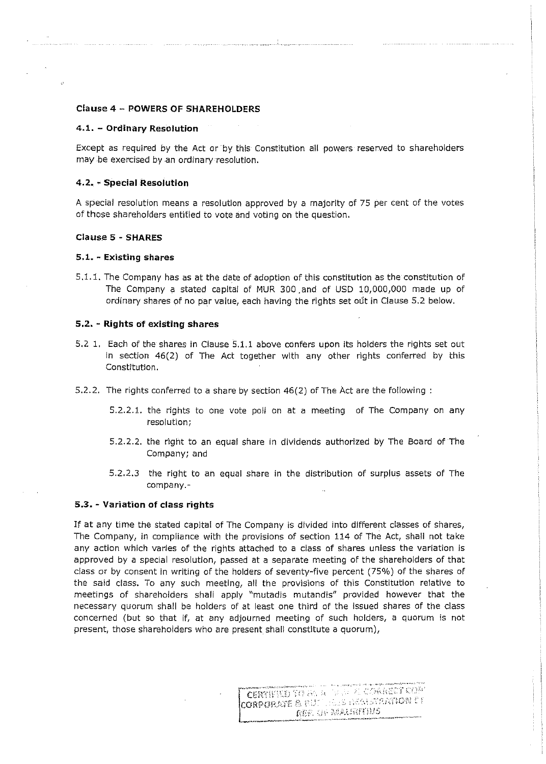#### **Clause 4 - POWERS OF SHAREHOLDERS**

#### **4.1. - Ordinary Resolution**

Except as required by the Act or by this Constitution all powers reserved to shareholders may be exercised by an ordinary resolution.

#### **4.2. - Special Resolution**

A special resolution means a resolution approved by a majority of 75 per cent of the votes of those shareholders entitled to vote and voting on the question.

## **Clause 5 - SHARES**

#### **5.1. - Existing shares**

5.1.1. The Company has as at the date of adoption of this constitution as the constitution of The Company a stated capital of MUR 300 .and of USD 10,000,000 made up of ordinary shares of no par value, each having the rights set out in Clause 5.2 below.

#### **5.2. - Rights of existing shares**

- 5.2 1. Each of the shares in Clause 5.1.1 above confers upon Its holders the rights set out in section 46(2) of The Act together with any other rights conferred by this Constitution.
- 5.2.2. The rights conferred to a share by section 46(2) of The Act are the following :
	- 5.2.2.1. the rights to one vote poll on at a meeting of The Company on any resolution;
	- 5.2.2.2. the right to an equal share in dividends authorized by The Board of The Company; and
	- 5.2.2.3 the right to an equal share in the distribution of surplus assets of The company.-

#### **5.3. - Variation of class rights**

If at any time the stated capital of The Company is divided into different classes of shares, The Company, in compliance with the provisions of section 114 of The Act, shall not take any action which varies of the rights attached to a class of shares unless the variation is approved by a special resolution, passed at a separate meeting of the shareholders of that class or by consent in writing of the holders of seventy-five percent (75%) of the shares of the said class. To any such meeting, all the provisions of this Constitution relative to meetings of shareholders shall apply "mutadis mutandis" provided however that the necessary quorum shall be holders of at least one third of the Issued shares of the class concerned (but so that if, at any adjourned meeting of such holders, a quorum is not present, those shareholders who are present shall constitute a quorum),

> CERTIFICATION A NOTE CARRET COM CENTER DE MARIN RESERVATION DE **ATE OF MALINITIES**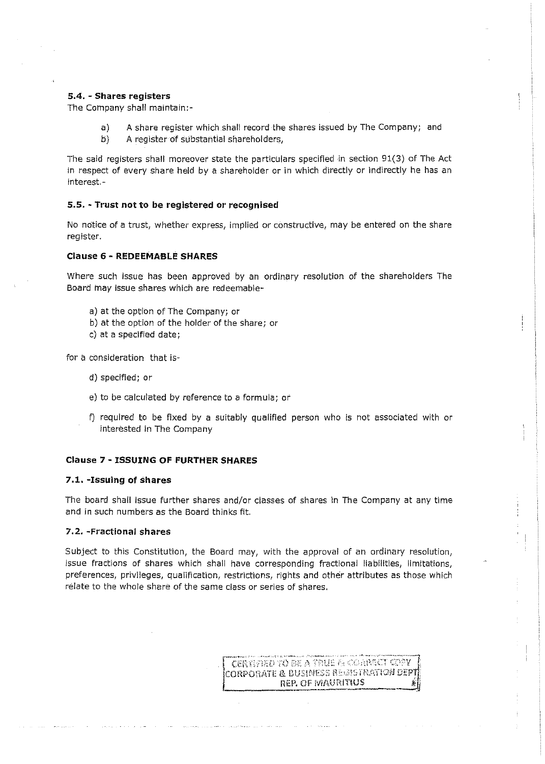## **5.4. - Shares registers**

The Company shall maintain:-

- a) A share register which shall record the shares issued by The Company; and
- b) A register of substantial shareholders,

The said registers shall moreover state the particulars specified in section 91(3) of The Act in respect of every share held by a shareholder or in which directly or indirectly he has an interest.-

## **5.5. - Trust not to be registered or recognised**

No notice of a trust, whether express, implied or constructive, may be entered on the share register.

#### **Clause 6 - REDEEMABLE SHARES**

Where such issue has been approved by an ordinary resolution of the shareholders The Board may issue shares which are redeemable-

- a) at the option of The Company; or
- b) at the option of the holder of the share; or
- c) at a specified date;

for a consideration that is-

- d) specified; or
- e) to be calculated by reference to a formula; or
- f) required to be fixed by a suitably qualified person who is not associated with or interested in The Company

## **Clause 7- ISSUING OF FURTHER SHARES**

## **7 .1. -Issuing of shares**

The board shall issue further shares and/or classes of shares in The Company at any time and in such numbers as the Board thinks fit.

## **7.2. -Fractional shares**

Subject to this Constitution, the Board may, with the approval of an ordinary resolution, issue fractions of shares which shall have corresponding fractional liabilities, limitations, preferences, privileges, qualification, restrictions, rights and other attributes as those which relate to the whole share of the same class or series of shares.

> CERTIFIED TO DE A TRUE A COARGCT COPY CORPORATE & BUSINESS REGISTRATION DEPT REP. OF MAURITIUS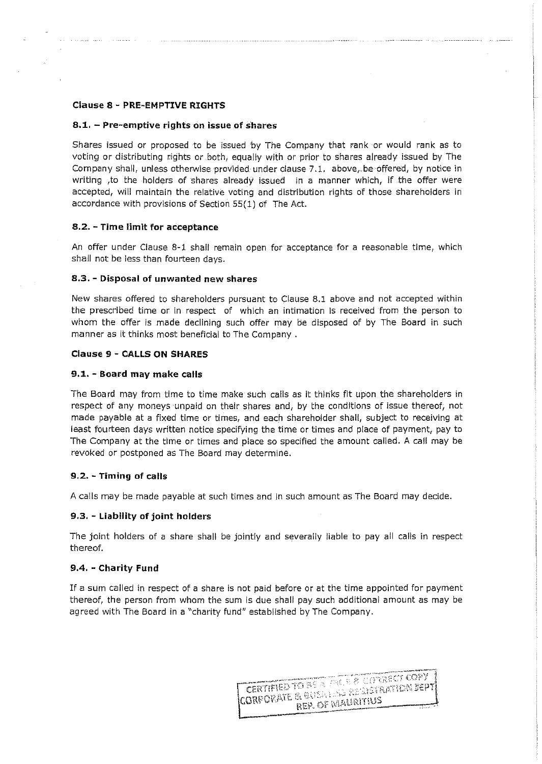## **Clause 8- PRE-EMPTIVE RIGHTS**

#### **8.1. -Pre-emptive rights on issue of shares**

Shares issued or proposed to be issued by The Company that rank or would rank as to voting or distributing rights or both, equally with or prior to shares already issued by The Company shall, unless otherwise provided under clause 7.1. above, be offered, by notice in writing , to the holders of shares already issued in a manner which, if the offer were accepted, will maintain the relative voting and distribution rights of those shareholders in accordance with provisions of Section 55(1) of The Act.

## **8.2. -Time limit for acceptance**

An offer under Clause 8-1 shall remain open for acceptance for a reasonable time, which shall not be less than fourteen days.

## **8.3.- Disposal of unwanted new shares**

New shares offered to shareholders pursuant to Clause 8.1 above and not accepted within the prescribed time or In respect of which an intimation Is received from the person to whom the offer is made declining such offer may be disposed of by The Board in such manner as it thinks most beneficial to The Company .

## **Clause 9 - CALLS ON SHARES**

## **9.1.- Board may make calls**

The Board may from time to time make such calls as it thinks fit upon the shareholders in respect of any moneys unpaid on their shares and, by the conditions of issue thereof, not made payable at a fixed time or times, and each shareholder shall, subject to receiving at least fourteen days written notice specifying the time or times and place of payment, pay to The Company at the time or times and place so specified the amount called. A call may be revoked or postponed as The Board may determine.

## **9.2. -Timing of calls**

A calls may be made payable at such times and In such amount as The Board may decide.

#### **9.3. - Liability of joint holders**

The joint holders of a share shall be jointly and severally liable to pay all calls In respect thereof.

## **9.4. -Charity Fund**

If a sum called in respect of a share is not paid before or at the time appointed for payment thereof, the person from whom the sum is due shall pay such additional amount as may be agreed with The Board in a "charity fund" established by The Company.

> CERTIFIED TO BEEN ALL REMOTERED COPY CERTIFIED TO BE A CHARGE CALIFORNIERT REP. OF WALKITIUS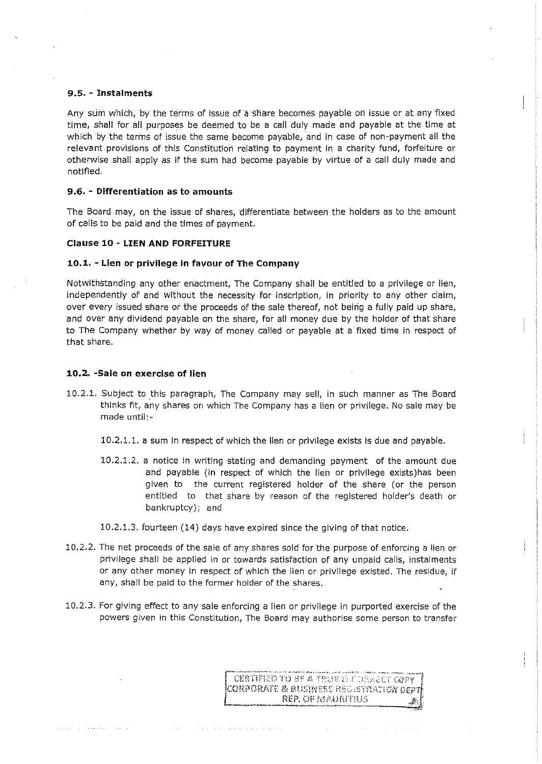#### **9.5. - Instalments**

Any sum which, by the terms of issue of a share becomes payable on issue or at any fixed time, shall for .all purposes be deemed to be a call duly made and payable at the time at which by the terms of issue the same become payable, and in case of non-payment all the relevant provisions of this Constitution relating to payment in a charity fund, forfeiture or otherwise shall apply as if the sum had become payable by virtue of a call duly made and notified.

## **9.6.- Differentiation as to amounts**

The Board may, on the issue of shares, differentiate between the holders as to the amount of calls to be paid and the times of payment.

## **Clause 10- LIEN AND FORFEITURE**

## **10.1. - Lien or privilege in favour of The Company**

 $\tau \rightarrow \infty$ 

Notwithstanding any other enactment, The Company shall be entitled to a privilege or lien, independently of and Without the necessity for inscription, in priority to any other claim, over every issued share or the proceeds of the sale thereof, not being a fully paid up share, and over any diVidend payable on the share, for all money due by the holder of that share to The Company whether by way of money called or payable at a fixed time in respect of that share.

## **10.2. •Sale on exercise of lien**

- 10.2.1. Subject to this paragraph, The Company may sell, in such manner as The Board thinks fit, any shares on which The Company has a lien or privilege. No sale may be made until:-
	- 10.2.1.1. a sum in respect of which the lien or privilege exists is due and payable.
	- 10.2.1.2. a notice in writing stating and demanding payment of the amount due and payable (in respect of which the lien or privilege exists)has been given to the current registered holder of the share (or the person entitled to that share by reason of the registered holder's death or bankruptcy); and
	- 10.2.1.3. fourteen (14) days have expired since the giving of that notice.
- 10.2.2. The net proceeds of the sale of any shares sold for the purpose of enforcing a lien or privilege shall be applied in or towards satisfaction of any unpaid calls, instalments or any other money in respect of which the lien or privilege existed. The residue, if any, shall be paid to the former holder of the shares.
- 10.2.3. For giving effect to any sale enforcing a lien or privilege in purported exercise of the powers given in this Constitution, The Board may authorise some person to transfer

CERTIFICO TO BE A TRUE O CURRELT COPY |CORPORATE & BUSINESS REGISTRATION DEP rep. of mauritius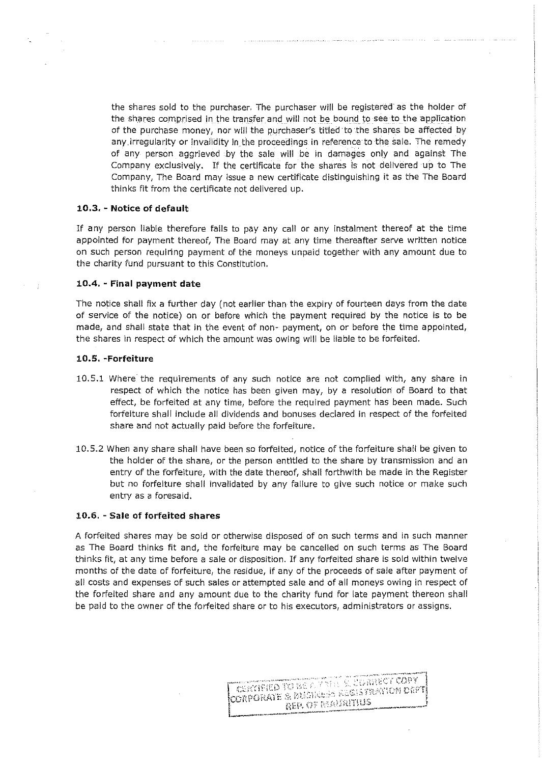the shares sold to the purchaser. The purchaser Will be registered as the holder of the shares comprised in the transfer and will not be bound to see to the application of the purchase money, nor will the purchaser's titled to the shares be affected by any Irregularity or invalidity in the proceedings in reference to the sale. The remedy of any person aggrieved by the sale will be in damages only and against The Company exclusively. If the certificate for the shares is not delivered up to The Company, The Board may issue a new certificate distinguishing it as the The Board thinks fit from the certificate not delivered up.

#### **10.3 .. - Notice of default**

If any person liable therefore fails to pay any call or any instalment thereof at the time appointed for payment thereof, The Board may at any time thereafter serve written notice on such person requiring payment of the moneys unpaid together with any amount due to the charity fund pursuant to this Constitution,

## **10.4. - Final payment date**

The notice shall fix a further day (not earlier than the expiry of fourteen days from the date of service of the notice) on or before which the payment required by the notice is to be made, and shall state that in the event of non- payment, on or before the time appointed, the shares in respect of which the amount was owing will be liable to be forfeited.

#### **10.5, -Forfeiture**

- 10.5.1 Where· the requirements of any such notice are not complied with, any share in respect of which the notice has been given may, by a resolution of Board to that effect, be forfeited at any time, before the required payment has been made. Such forfeiture shall include all dividends and bonuses declared In respect of the forfeited share and not actually paid before the forfeiture.
- 10.5.2 When any share shall have been so forfeited, notice of the forfeiture shall be given to the holder of the share, or the person entitled to the share by transmission and an entry of the forfeiture, with the date thereof, shall forthwith be made in the Register but no forfeiture shall invalidated by any failure to give such notice or make such entry as a foresaid.

#### **10.6. -Sale of forfeited shares**

A forfeited shares may be sold or otherwise disposed of on such terms and In such manner as The Board thinks fit and, the forfeiture may be cancelled on such terms as The Board thinks fit, at any time before a sale or disposition. If any forfeited share is sold within twelve months of the date of forfeiture, the residue, if any of the proceeds of sale after payment of all costs and expenses of such sales or attempted sale and of all moneys owing in respect of the forfeited share and any amount due to the charity fund for late payment thereon shall be paid to the owner of the forfeited share or to his executors, administrators or assigns.

> CHANGED THE CONSTRUCTION i certified to be a line de distration dep<br>Corporate & Busine de dealetration dep **REP. OF MAURITIUS**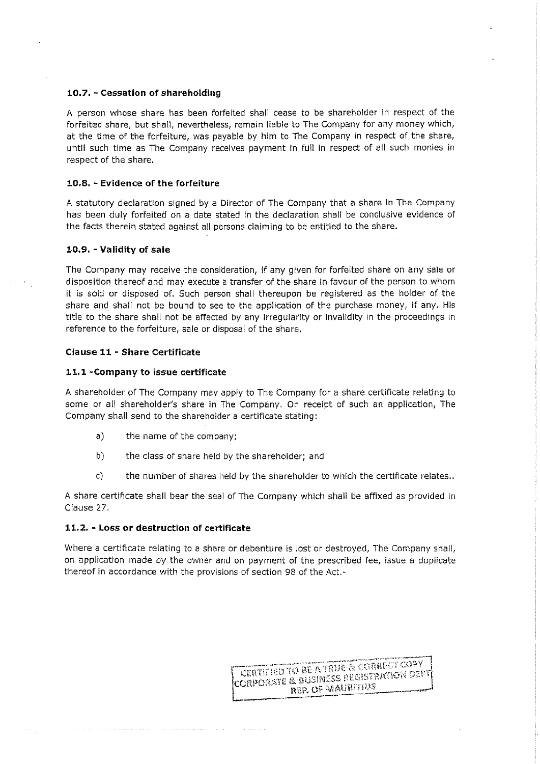## **10.7.- Cessation of shareholding**

A person whose share has been forfeited shalt cease to be shareholder in respect of the forfeited share, but shall, nevertheless, remain liable to The Company for any money which, at the time of the forfeiture, was payable by him to The Company in respect of the share, until such time as The Company receives payment in full in respect of all such monies in respect of the share.

## **10.8. - Evidence of the forfeiture**

A statutory declaration signed by a Director of The Company that a share in The Company has been duly forfeited on a date stated in the declaration shall be conclusive evidence of the facts therein stated against all persons claiming to be entitled to the share.

#### **10.9. -Validity of sale**

The Company may receive the consideration, if any given for forfeited share on any sate or disposition thereof and may execute a transfer of the share In favour of the person to whom it is sold or disposed of. Such person shall thereupon be registered as the holder of the share and shall not be bound to see to the application of the purchase money, If any. His title to the share shall not be affected by any irregularity or invalidity in the proceedings in reference to the forfeiture, sale or disposal of the share.

## **Clause 11 - Share Certificate**

## **11.1 -Company to issue certificate**

A shareholder of The Company may apply to The Company for a share certificate relating to some or all shareholder's share in The Company. On receipt of such an application, The Company shall send to the shareholder a certificate stating:

- a) the name of the company;
- b) the class of share held by the shareholder; and
- c) the number of shares held by the shareholder to which the certificate relates..

A share certificate shall bear the seat of The Company which shall be affixed as provided in Clause 27.

## **11.2. -Loss or destruction of certificate**

Where a certificate relating to a share or debenture is lost or destroyed, The Company shall, on application made by the owner and on payment of the prescribed fee, issue a duplicate thereof in accordance with the provisions of section 98 of the Act.-

> CERTIFIED TO BE A TRUE & CORMECT COPY CERTIFIED TO BE A THUE & COMMICATOR<br>CORPORATE & BUSINESS REGISTRATION DEP REP. OF MAURITIUS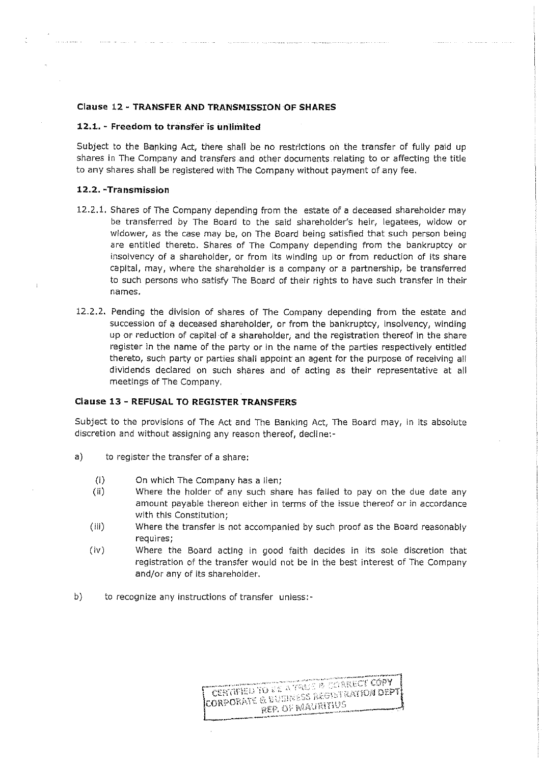## **Clause** 12- **TRANSFER AND TRANSMISSION OF SHARES**

## **12.1.. - Freedom to transfer is unlimited**

Subject to the Banking Act, there shall be no restrictions on the transfer of fully paid up shares in The Company and transfers and other documents relating to or affecting the title to any shares shall be registered with The Company without payment of any fee.

#### **12.2. -Transmission**

- 12.2.1. Shares of The Company depending from the estate of a deceased shareholder may be transferred by The Board to the said shareholder's heir, legatees, widow or widower, as the case may be, on The Board being satisfied that such person being are entitled thereto. Shares of The Company depending from the bankruptcy or insolvency of a shareholder, or from its winding up or from reduction of its share capital, may, where the shareholder is a company or a partnership, be transferred to such persons who satisfy The Board of their rights to have such transfer in their names.
- 12.2.2. Pending the division of shares of The Company depending from the estate and succession of a deceased shareholder, or from the bankruptcy, insolvency, winding up or reduction of capital of a shareholder, and the registration thereof in the share register in the name of the party or in the name of the parties respectively entitled thereto, such party or parties shall appoint an agent for the purpose of receiving all dividends declared on such shares and of acting as their representative at all meetings of The Company.

#### **Clause 13- REFUSAL TO REGISTER TRANSFERS**

Subject to the provisions of The Act and The Banking Act, The Board may, in its absolute discretion and without assigning any reason thereof, decline:-

- a) to register the transfer of a share:
	- (i) On which The Company has a lien;
	- (ii) Where the holder of any such share has failed to pay on the due date any amount payable thereon either in terms of the issue thereof or in accordance with this Constitution;
	- (iii) Where the transfer is not accompanied by such proof as the Board reasonably requires;
	- (iv) Where the Board acting in good faith decides in its sole discretion that registration of the transfer would not be in the best interest of The Company and/or any of its shareholder.
- b) to recognize any instructions of transfer unless:-

CERTIFILITY OF A TACE & CORRECT COPY CERTIFIED TO BE A TAUD A CHATTON DEPT REF. OF WAURITINS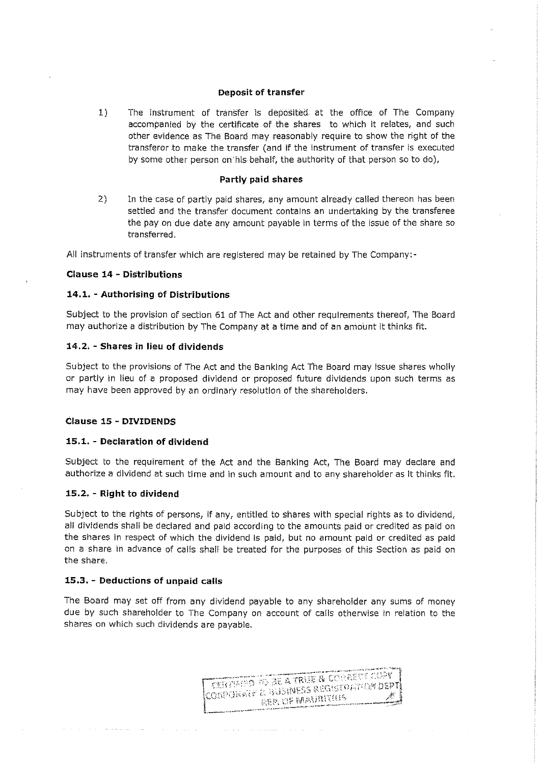#### **Deposit of transfer**

1) The instrument of transfer is deposited at the office of The Company accompanied by the certificate of the shares to which it relates, and such other evidence as The Board may reasonably require to show the right of the transferor to make the transfer (and If the instrument of transfer is executed by some other person on his behalf, the authority of that person so to do),

#### **Partly paid shares**

2) In the case of partly paid shares, any amount already called thereon has been settled and the transfer document contains an undertaking by the transferee the pay on due date any amount payable in terms of the issue of the share so transferred.

All instruments of transfer which are registered may be retained by The Company:-

## **Ciause 14- Distributions**

## **14.1. - Authorising of Distributions**

Subject to the provision of section 61 of The Act and other requirements thereof, The Board may authorize a distribution by The Company at a time and of an amount it thinks fit.

#### **14.2. - Shares in lieu of dividends**

Subject to the provisions of The Act and the Banking Act The Board may issue shares wholly or partly in lieu of a proposed dividend or proposed future dividends upon such terms as may have been approved by an ordinary resolution of the shareholders.

## **Clause 15 - DIVIDENDS**

## **15.1. - Declaration of dividend**

Subject to the requirement of the Act and the Banking Act, The Board may declare and authorize a dividend at such time and in such amount and to any shareholder as It thinks fit.

## **15.2. - Right to dividend**

Subject to the rights of persons, if any, entitled to shares with special rights as to dividend, all dividends shall be declared and paid according to the amounts paid or credited as paid on the shares in respect of which the dividend Is paid, but no amount paid or credited as paid on a share in advance of calls shall be treated for the purposes of this Section as paid on the share.

## **15.3. - Deductions of unpaid calls**

The Board may set off from any dividend payable to any shareholder any sums of money due by such shareholder to The Company on account of calls otherwise in relation to the shares on which such dividends are payable.

> CERTAINS TO BE A TRUE & CONFECT COMP *\* ''I' , ' **<sup>t</sup>**\., ' ' **<sup>1</sup>**• ' **GER OF MAULTURE** ----- -~--- --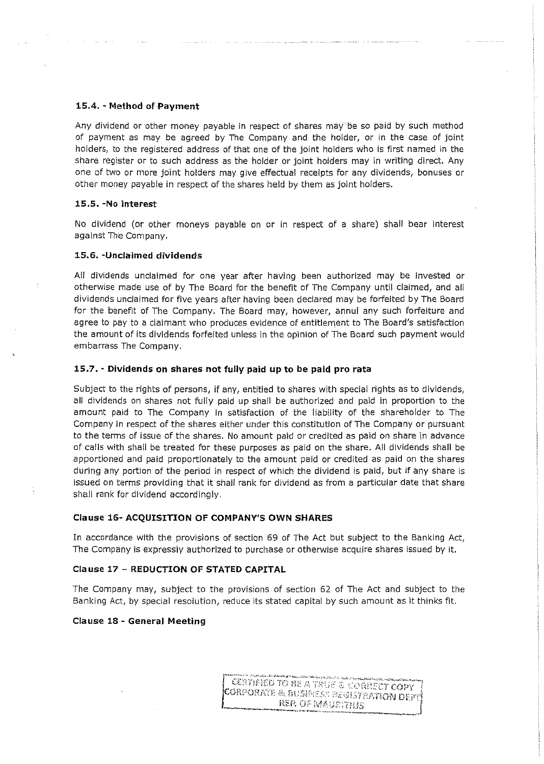## **15.4. -Method of Payment**

Any dividend or other money payable in respect of shares may be so paid by such method of payment as may be agreed by The Company and the holder, or in the case of joint holders, to the registered address of that one of the joint holders who is first named in the share register or to such address as the holder or joint holders may in writing direct. Any one of two or more joint holders may give effectual receipts for any dividends, bonuses or other money payable in respect of the shares held by them as joint holders.

#### **15.5. -No interest**

No dividend (or other moneys payable on or in respect of a share) shall bear Interest against The Company.

#### **15.6. ·Unclaimed dividends**

All dividends unclaimed for one year after having been authorized may be invested or otherwise made use of by The Board for the benefit of The Company until claimed, and all dividends unclaimed for five years after having been declared may be forfeited by The Board for the benefit of The Company. The Board may, however, annul any such forfeiture and agree to pay to a claimant who produces evidence of entitlement to The Board's satisfaction the amount of its dividends forfeited unless in the opinion of The Board such payment would embarrass The Company.

#### **15.7. - Dividends on shares not fully paid up to be paid pro .rata**

Subject to the rights of persons, if any, entitled to shares with special rights as to dividends, all dividends on shares not fully paid up shall be authorized and paid in proportion to the amount paid to The Company in satisfaction of the liability of the shareholder to The Company in respect of the shares either under this constitution of The Company or pursuant to the terms of issue of the shares. No amount paid or credited as paid on share in advance of calls with shall be treated for these purposes as paid on the share. All dividends shall be apportioned and paid proportionately to the amount paid or credited as paid on the shares during any portion of the period in respect of which the dividend is paid, but if any share is issued on terms providing that it shall rank for dividend as from a particular date that share shall rank for dividend accordingly.

#### **Clause 16- ACQUISITION OF COMPANY'S OWN SHARES**

In accordance with the provisions of section 69 of The Act but subject to the Banking Act, The Company is expressly authorized to purchase or otherwise acquire shares issued by it.

#### **Clause 17- REDUCTION OF STATED CAPITAL**

The Company may, subject to the provisions of section 62 of The Act and subject to the Banking Act, by special resolution, reduce its stated capital by such amount as it thinks fit.

#### **Clause 18- General Meeting**

CERTIFIED TO BE A TRIAL A CORRECT COPY CORPORATE & BUSINESS REGISTRATION DEP REP. OF MAUSITHIS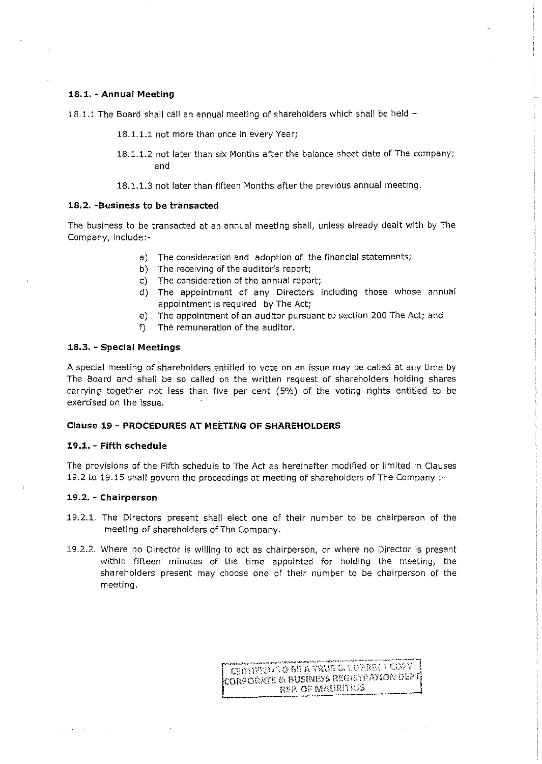## **18.1. -Annual Meeting**

18.1.1 The Board shall call an annual meeting of shareholders which shall be held -

18.1.1.1 not more than once in every Year;

- 18.1.1.2 not later than six Months after the balance sheet date of The company; and
- 18.1.1.3 not later than fifteen Months after the previous annual meeting.

## **18.2. -Business to be transacted**

The business to be transacted at an annual meeting shall, unless already dealt with by The Company, include:-

- a) The consideration and adoption of the financial statements;
- b) The receiving of the auditor's report;
- c) The consideration of the annual report;
- d) The appointment of any Directors including those whose annual appointment is required by The Act;
- e) The appointment of an auditor pursuant to section 200 The Act; and
- f) The remuneration of the auditor.

## **18.3. - Special Meetings**

A special meeting of shareholders entitled to vote on an issue may be called at any time by The Board and shall be so called on the written request of shareholders holding shares carrying together not less than five per cent (5%) of the voting rights entitled to be exercised on the Issue.

## **Clause 19 - PROCEDURES AT MEETING OF SHAREHOLDERS**

## **19.1. - Fifth schedule**

The provisions of the Fifth schedule to The Act as hereinafter modified or limited in Clauses 19.2 to 19.15 shall govern the proceedings at meeting of shareholders of The Company :-

#### **19.2. - Chairperson**

- 19.2.1. The Directors present shall elect one of their number to be chairperson of the meeting of shareholders of The Company.
- 19.2.2. Where no Director is willing to act as chairperson, or where no Director is present within fifteen minutes of the time appointed for holding the meeting, the shareholders present may choose one of their number to be chairperson of the meeting.

CERTIFICIO DE A TRUE A CARREAT COPY CORPORATE & BUSINESS REGISTRATION DEPT REP. OF MAURITIUS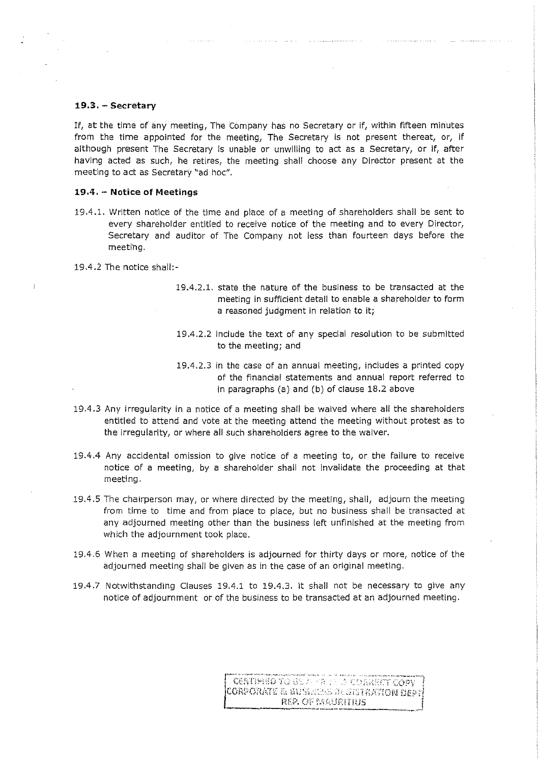## **19.3,- Secretary**

If, at the time of any meeting, The Company has no Secretary or if, within fifteen minutes from the time appointed for the meeting, The Secretary is not present thereat, or, if although present The Secretary is unable or unwilling to act as a Secretary, or if, after having acted as such, he retires, the meeting shall choose any Director present at the meeting to act as Secretary "ad hoc".

## **19.4. - Notice of Meetings**

19.4.1. Written notice of the time and place of a meeting of shareholders shall be sent to every shareholder entitled to receive notice of the meeting and to every Director, Secretary and auditor of The Company not less than fourteen days before the meeting.

19.4.2 The notice shall:-

- 19.4.2.1. state the nature of the business to be transacted at the meeting in sufficient detail to enable a shareholder to form a reasoned judgment in relation to it;
- 19.4.2.2 include the text of any special resolution to be submitted to the meeting; and
- 19.4.2.3 in the case of an annual meeting, includes a printed copy of the financial statements and annual report referred to in paragraphs (a) and (b) of clause 18.2 above
- 19.4.3 Any irregularity in a notice of a meeting shall be waived where all the shareholders entitled to attend and vote at the meeting attend the meeting without protest as to the irregularity, or where all such shareholders agree to the waiver.
- 19.4.4 Any accidental omission to give notice of a meeting to, or the failure to receive notice of a meeting, by a shareholder shall not invalidate the proceeding at that meeting.
- 19.4.5 The chairperson may, or where directed by the meeting, shall, adjourn the meeting from time to time and from place to place, but no business shall be transacted at any adjourned meeting other than the business left unfinished at the meeting from which the adjournment took place.
- 19.4.6 When a meeting of shareholders is adjourned for thirty days or more, notice of the adjourned meeting shall be given as in the case of an original meeting.
- 19.4.7 Notwithstanding Clauses 19.4.1 to 19.4.3. it shall not be necessary to give any notice of adjournment or of the business to be transacted at an adjourned meeting.

CERTIFIED TO BE A FRIDE & CORRECT COPY CORPORATE & SUSMILES BEGISTRATION DEPT REP. OF MAURITIUS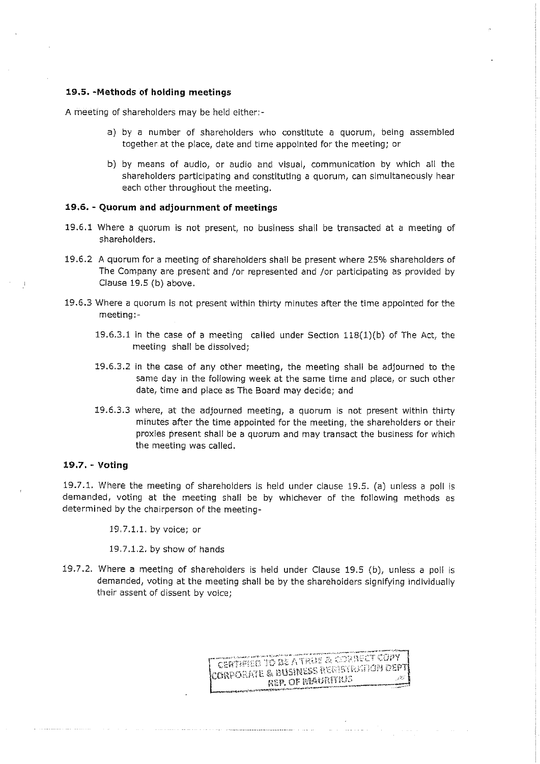#### **19.5. -Methods of holding meetings**

A meeting of shareholders may be held either:-

- a) by a number of shareholders who constitute a quorum, being assembled together at the place, date and time appointed for the meeting; or
- b) by means of audio, or audio and visual, communication by which all the shareholders participating and constituting a quorum, can simultaneously hear each other throughout the meeting.

## **19.6. - Quorum and adjournment of meetings**

- 19.6.1 Where a quorum is not present, no business shall be transacted at a meeting of shareholders.
- 19.6.2 A quorum for a meeting of shareholders shall be present where 25% shareholders of The Company are present and /or represented and /or participating as provided by Clause 19.5 (b) above.
- 19.6.3 Where a quorum is not present within thirty minutes after the time appointed for the meeting:-
	- 19.6.3.1 in the case of a meeting called under Section 118(1)(b) of The Act, the meeting shall be dissolved;
	- 19.6.3.2 in the case of any other meeting, the meeting shall be adjourned to the same day in the following week at the same time and place, or such other date, time and place as The Board may decide; and
	- 19.6.3.3 where, at the adjourned meeting, a quorum is not present within thirty minutes after the time appointed for the meeting, the shareholders or their proxies present shall be a quorum and may transact the business for which the meeting was called.

## **19.7.- Voting**

19.7 .1. Where the meeting of shareholders Is held under clause 19.5. (a) unless a poll is demanded, voting at the meeting shall be by whichever of the following methods as determined by the chairperson of the meeting-

19. 7.1.1. by voice; or

19.7 .1.2. by show of hands

19.7 .2. Where a meeting of shareholders is held under Clause 19.5 (b), unless a poll is demanded, voting at the meeting shall be by the shareholders signifying individually their assent of dissent by voice;

> CERTIFIED TO BE A TRUE & CORRECT COPY CERTIFIED TO BE A 1898 & COMPORTE **REP. OF MAURITIUS**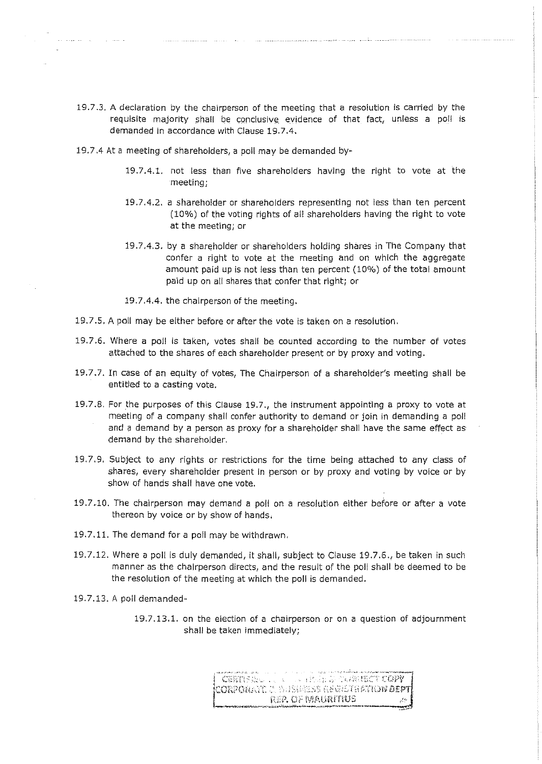- 19.7 .3. A declaration by the chairperson of the meeting that a resolution is carried by the requisite majority shall be conclusive. evidence of that fact, unless a poll is demanded in accordance with Clause 19.7.4.
- 19.7 .4 At a meeting of shareholders, a poll may be demanded by-
	- 19.7.4.1. not less than five shareholders having the right to vote at the meeting;
	- 19.7.4.2. a shareholder or shareholders representing not less than ten percent (10%) of the voting rights of all shareholders having the right to vote at the meeting; or
	- 19.7.4.3. by a shareholder or shareholders holding shares in The Company that confer a right to vote at the meeting and on which the aggregate amount paid up is not less than ten percent (10%) of the total amount paid up on all shares that confer that right; or
	- 19.7 .4.4. the chairperson of the meeting.
- 19.7.5, A poll may be either before or after the vote is taken on a resolution.
- 19.7.6. Where a poll is taken, votes shall be counted according to the number of votes attached to the shares of each shareholder present or by proxy and voting.
- 19.7.7. In case of an equity of votes, The Chairperson of a shareholder's meeting shall be entitled to a casting vote.
- 19.7.8. For the purposes of this Clause 19.7., the instrument appointing a proxy to vote at meeting of a company shall confer authority to demand or join in demanding a poll and a demand by a person as proxy for a shareholder shall have the same effect as demand by the shareholder.
- 19.7.9. Subject to any rights or restrictions for the time being attached to any class of shares, every shareholder present in person or by proxy and voting by voice or by show of hands shall have one vote.
- 19.7.10. The chairperson may demand a poll on a resolution either before or after a vote thereon by voice or by show of hands.
- 19.7.11. The demand for a poll may be withdrawn.
- 19.7.12. Where a poll is duly demanded, it shall, subject to Clause 19.7.6., be taken in such manner as the chairperson directs, and the result of the poll shall be deemed to be the resolution of the meeting at which the poll is demanded.
- 19.7.13. A poll demanded-
	- 19.7.13.1. on the election of a chairperson or on a question of adjournment shall be taken immediately;

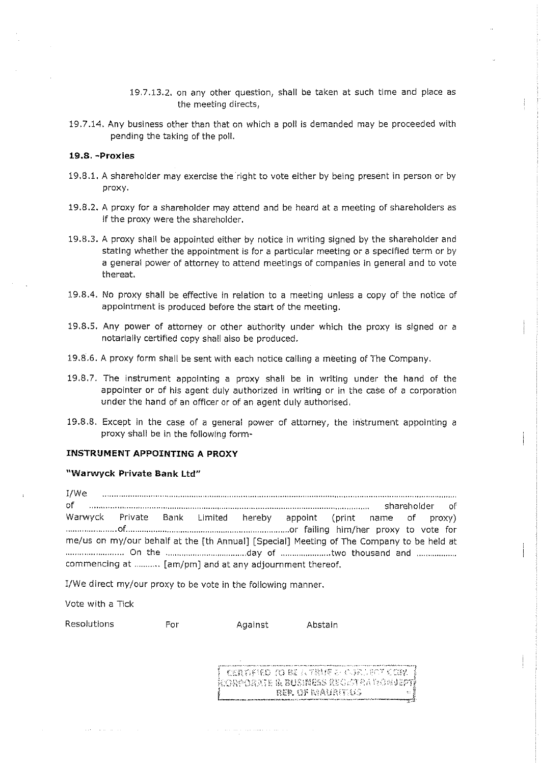- 19.7.13.2. on any other question, shall be taken at such time and place as the meeting directs,
- 19.7 .14. Any business other than that on which a poll is demanded may be proceeded with pending the taking of the poll.

## **19.8. -Proxies**

- 19.8.1. A shareholder may exercise the right to vote either by being present in person or by proxy.
- 19.8.2. A proxy for a shareholder may attend and be heard at a meeting of shareholders as if the proxy were the shareholder.
- 19.8.3. A proxy shall be appointed either by notice in writing signed by the shareholder and stating whether the appointment is for a particular meeting or a specified term or by a general power of attorney to attend meetings of companies in general and to vote thereat.
- 19.8.4. No proxy shall be effective in relation to a meeting unless a copy of the notice of appointment is produced before the start of the meeting.
- 19.8.5. Any power of attorney or other authority under which the proxy is signed or a notarially certified copy shall also be produced.
- 19.8.6. A proxy form shall be sent with each notice calling a meeting of The Company.
- 19.8.7. The instrument appointing a proxy shall be in writing under the hand of the appointer or of his agent duly authorized in writing or in the case of a corporation under the hand of an officer or of an agent duly authorised.
- 19.8.8. Except in the case of a general power of attorney, the instrument appointing a proxy shall be in the following form-

## **INSTRUMENT APPOINTING A PROXY**

#### **"Warwyck Private Bank ltd"**

!/We of . . . .... ...... ... .... .... ..... ......... ........... ................. ........ ......... ...... .................... ...... . .. ..... shareholder of Warwyck Private Bank Limited hereby appoint (print name of proxy) ...................... of ........................................................................ or failing him/her proxy to vote for me/us on my/our behalf at the [th Annual] [Special] Meeting of The Company to be held at ......................... On the .................................... day of ...................... two thousand and ................. . commencing at ........... [am/pm] and at any adjournment thereof.

 $\mathcal{A}^{\mathcal{A}}$  , and the second constraint in the second second

!/We direct my/our proxy to be vote in the following manner.

Vote with a Tick

المتحامل والمستقرب المتعار

Resolutions For For Against Abstain

机金属等新年级 的复数蓝 八字数组符 石 机冷风力的汽车后的操作 KORPOKATE & BUSINES KEOKTRA POBUZPT 衰弱性 总外科消化致行转移的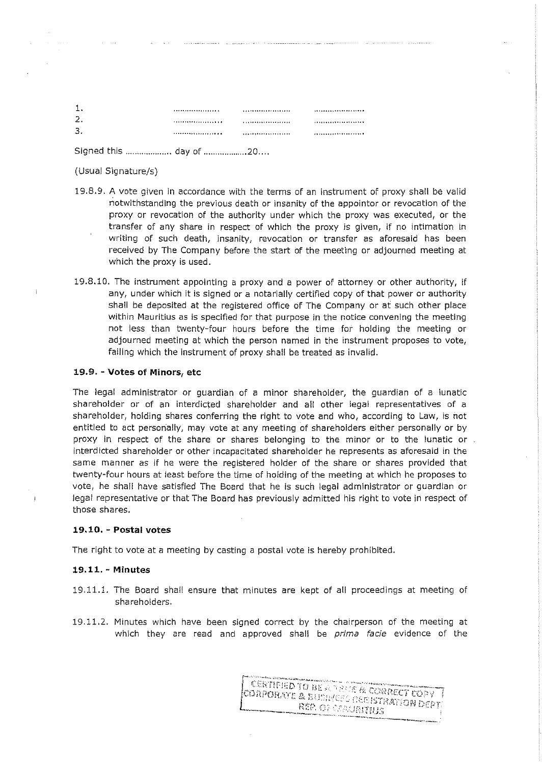| <u>. م</u> |         |  |
|------------|---------|--|
| ه می       | <b></b> |  |

Signed this ............................day of ...........................20.....

(Usual Signature/s)

- 19.8.9. A vote given in accordance with the terms of an Instrument of proxy shall be valid notwithstanding the previous death or insanity of the appointor or revocation of the proxy or revocation of the authority under which the proxy was executed, or the transfer of any share in respect of which the proxy is given, if no intimation in writing of such death, insanity, revocation or transfer as aforesaid has been received by The Company before the start of the meeting or adjourned meeting at which the proxy is used.
- 19.8.10. The instrument appointing a proxy and a power of attorney or other authority, if any, under which it is signed or a notarially certified copy of that power or authority shall be deposited at the registered office of The Company or at such other place within Mauritius as is specified for that purpose In the notice convening the meeting not less than twenty-four hours before the time for holding the meeting or adjourned meeting at which the person named in the instrument proposes to vote, failing which the instrument of proxy shall be treated as invalid.

#### **19.9. -Votes of Minors, etc**

The legal administrator or guardian of a minor shareholder, the guardian of a lunatic shareholder or of an interdicted shareholder and all other legal representatives of a shareholder, holding shares conferring the right to vote and who, according to Law, is not entitled to act personally, may vote at any meeting of shareholders either personally or by proxy in respect of the share or shares belonging to the minor or to the lunatic or interdicted shareholder or other incapacitated shareholder he represents as aforesaid in the same manner as if he were the registered holder of the share or shares provided that twenty-four hours at least before the time of holding of the meeting at which he proposes to vote, he shall have satisfied The Board that he is such legal administrator or guardian or legal representative or that The Board has previously admitted his right to vote in respect of those shares.

## **19.10.- Postal votes**

The right to vote at a meeting by casting a postal vote is hereby prohibited.

#### **19.11.- Minutes**

- 19.11.1. The Board shall ensure that minutes are kept of all proceedings at meeting of shareholders.
- 19.11.2. Minutes which have been signed correct by the chairperson of the meeting at which they are read and approved shall be *prima facie* evidence of the

**CERTIFIED TO BE A TROF & CORRECT CORY** CORPORATE & BUSINESS REGISTRECT COPY **BEP. OF COLUMNIUS**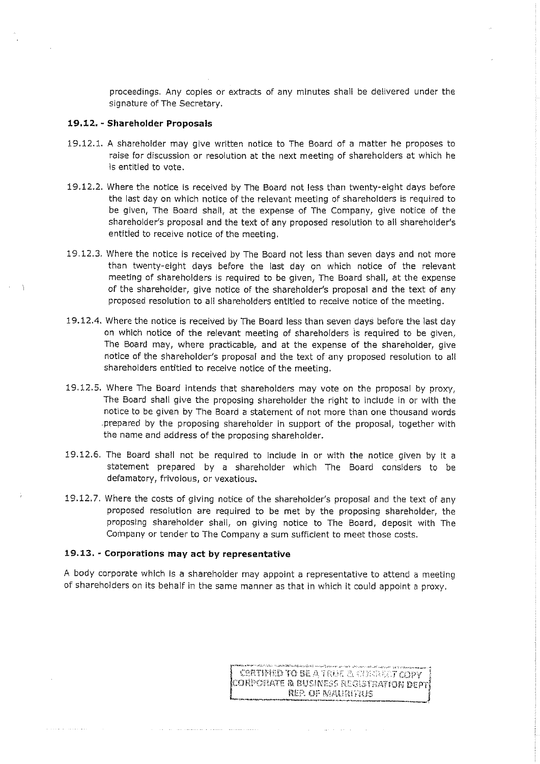proceedings. Any copies or extracts of any minutes shall be delivered under the signature of The Secretary.

#### **19.12.- Shareholder Proposals**

- 19.12.1. A shareholder may give written notice to The Board of a matter he proposes to raise for discussion or resolution at the next meeting of shareholders at which he is entitled to vote.
- 19.12.2. Where the notice is received by The Board not less than twenty-eight days before the last day on which notice of the relevant meeting of shareholders is required to be given, The Board shall, at the expense of The Company, give notice of the shareholder's proposal and the text of any proposed resolution to all shareholder's entitled to receive notice of the meeting.
- 19 .12. 3. Where the notice is received by The Board not less than seven days and not more than twenty-eight days before the last day on which notice of the relevant meeting of shareholders Is required to be given, The Board shall, at the expense of the shareholder, give notice of the shareholder's proposal and the text of any proposed resolution to all shareholders entitled to receive notice of the meeting.
- 19.12.4. Where the notice is received by The Board less than seven days before the last day on which notice of the relevant meeting of shareholders is required to be given, The Board may, where practicable, and at the expense of the shareholder, give notice of the shareholder's proposal and the text of any proposed resolution to all shareholders entitled to receive notice of the meeting.
- 19.12.5. Where The Board intends that shareholders may vote on the proposal by proxy, The Board shall give the proposing shareholder the right to include in or with the notice to be given by The Board a statement of not more than one thousand words prepared by the proposing shareholder in support of the proposal, together with the name and address of the proposing shareholder.
- 19.12.6. The Board shall not be required to Include in or with the notice given by it a statement prepared by a shareholder which The Board considers to be defamatory, frivolous, or vexatious.
- 19.12.7. Where the costs of giving notice of the shareholder's proposal and the text of any proposed resolution are required to be met by the proposing shareholder, the proposing shareholder shall, on giving notice to The Board, deposit with The Company or tender to The Company a sum sufficient to meet those costs.

## **19.13.- Corporations may act by representative**

A body corporate which is a shareholder may appoint a representative to attend a meeting of shareholders on its behalf in the same manner as that in which it could appoint a proxy.

> CERTIFIED TO BE A TRUE & CERTRET COPY corporate & business registration dept REP. OF MALIAITHS

> > contact and a state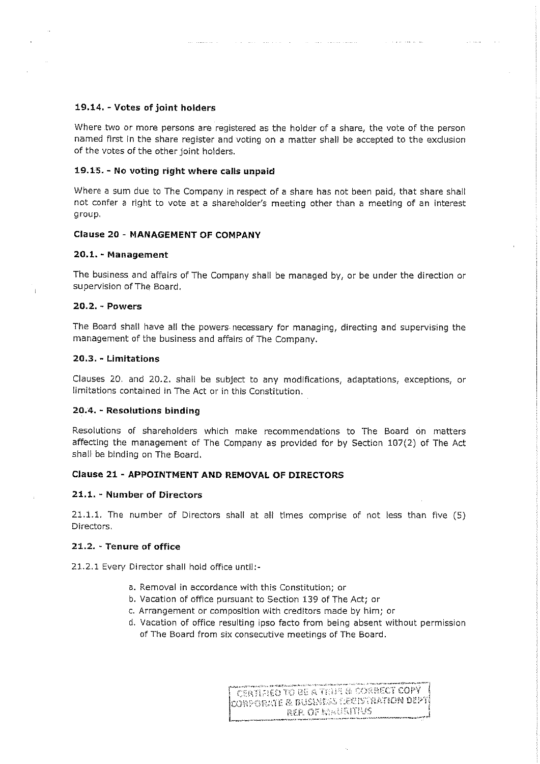## **19.14.- Votes of joint holders**

Where two or more persons are registered as the holder of a share, the vote of the person named first in the share register and voting on a matter shall be accepted to the exclusion of the votes of the other joint holders.

and the state of the state of the state of the state of the state of the state of the state of the state of the

## **19.15.- No voting right where calls unpaid**

Where a sum due to The Company in respect of a share has not been paid, that share shall not confer a right to vote at a shareholder's meeting other than a meeting of an interest group.

## **Clause 20 - MANAGEMENT Of COMPANY**

#### **20.1.- Management**

The business and affairs of The Company shall be managed by, or be under the direction or supervision of The Board.

## **20.2. - Powers**

The Board shall have all the powers necessary for managing, directing and supervising the management of the business and affairs of The Company.

## **20.3. - Limitations**

Clauses 20. and 20.2. shall be subject to any modifications, adaptations, exceptions, or limitations contained in The Act or in this Constitution.

#### **20.4. - Resolutions binding**

Resolutions of shareholders which make recommendations to The Board on matters affecting the management of The Company as provided for by Section 107(2) of The Act shall be binding on The Board.

## **Clause 21 - APPOINTMENT AND REMOVAL OF DIRECTORS**

#### **21.1.- Number of Directors**

21.1.1. The number of Directors shall at all times comprise of not less than five (5) Directors.

#### **21.2. - Tenure of office**

21.2.1 Every Director shall hold office until:-

- a. Removal in accordance with this Constitution; or
- b. Vacation of office pursuant to Section 139 of The Act; or
- c. Arrangement or composition with creditors made by him; or
- d. Vacation of office resulting ipso facto from being absent without permission of The Board from six consecutive meetings of The Board.

CENTIFIED TO BE A THIR & CONBECT COPY CORPORATE & BUSINESS CREISTRATION DEPT REE OF MAUSITIUS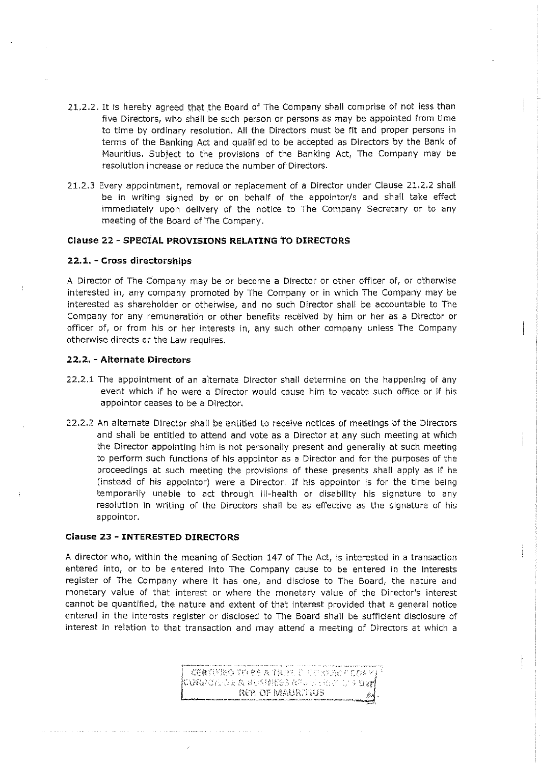- 21.2.2. It is hereby agreed that the Board of The Company shall comprise of not less than five Directors, who shall be such person or persons as may be appointed from time to time by ordinary resolution. All the Directors must be fit and proper persons in terms of the Banking Act and qualified to be accepted as Directors by the Bank of Mauritius. Subject to the provisions of the Banking Act, The Company may be resolution increase or reduce the number of Directors.
- 21.2.3 Every appointment, removal or replacement of a Director under Clause 21.2.2 shall be in writing signed by or on behalf of the appointor/s and shall take effect immediately upon delivery of the notice to The Company Secretary or to any meeting of the Board of The Company.

#### **Clause 22- SPECIAL PROVISIONS RELATING TO DIRECTORS**

#### **22.1. - Cross directorships**

A Director of The Company may be or become a Director or other officer of, or otherwise interested in, any company promoted by The Company or in which The Company may be interested as shareholder or otherwise, and no such Director shall be accountable to The Company for any remuneration or other benefits received by him or her as a Director or officer of, or from his or her interests in, any such other company unless The Company otherwise directs or the Law requires.

#### **22.2. -Alternate Directors**

- 22.2.1 The appointment of an alternate Director shall determine on the happening of any event which if he were a Director would cause him to vacate such office or If his appointor ceases to be a Director.
- 22.2.2 An alternate Director shall be entitled to receive notices of meetings of the Directors and shall be entitled to attend and vote as a Director at any such meeting at which the Director appointing him is not personally present and generally at such meeting to perform such functions of his appointor as a Director and for the purposes of the proceedings at such meeting the provisions of these presents shall apply as if he (instead of his appointor) were a Director. If his appointor is for the time being temporarily unable to act through ill-health or disability his signature to any resolution in writing of the Directors shall be as effective as the signature of his appointor.

#### **Clause 23- INTERESTED DIRECTORS**

A director who, within the meaning of Section 147 of The Act, is interested in a transaction entered into, or to be entered into The Company cause to be entered in the Interests register of The Company where it has one, and disclose to The Board, the nature and monetary value of that interest or where the monetary value of the Director's interest cannot be quantified, the nature and extent of that Interest provided that a general notice entered in the interests register or disclosed to The Board shall be sufficient disclosure of interest in relation to that transaction and may attend a meeting of Directors at which a

> $\mathbb{Z}$  ( ) and the set of the left  $\mathbb{Z}$  ,  $\mathbb{Z}$  ,  $\mathbb{Z}$  ,  $\mathbb{Z}$  ,  $\mathbb{Z}$  ,  $\mathbb{Z}$  ,  $\mathbb{Z}$  ,  $\mathbb{Z}$  ,  $\mathbb{Z}$  ,  $\mathbb{Z}$  ,  $\mathbb{Z}$  ,  $\mathbb{Z}$  ,  $\mathbb{Z}$  ,  $\mathbb{Z}$  ,  $\mathbb{Z}$  ,  $\mathbb{Z}$  ,  $\mathbb{Z}$ i(;~,:..~~~-~:= ... > .. : 1:: f<\ :--::\_:(:;~>;;~: .. \_;:, :·:.~:·:. :<.-:" .· -, '-;~.~ri  $R$ EP. OF MAURTHUS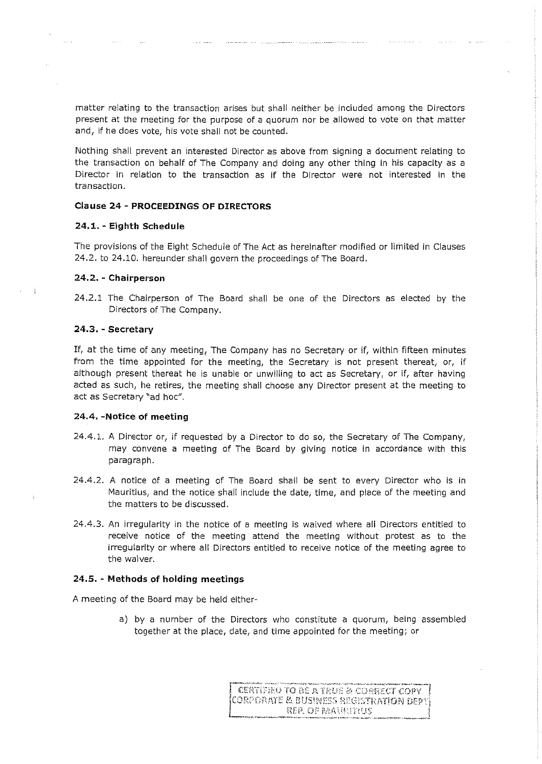matter relating to the transaction arises but shall neither be included among the Directors present at the meeting for the purpose of a quorum nor be allowed to vote on that matter and, If he does vote, his vote shall not be counted.

Nothing shall prevent an interested Director as above from signing a document relating to the transaction on behalf of The Company and doing any other thing in his capacity as a Director in relation to the transaction as If the Director were not interested in the transaction.

## **Clause 24 - PROCEEDINGS OF DIRECTORS**

## **24.1. - Eighth Schedule**

The provisions of the Eight Schedule of The Act as hereinafter modified or limited in Clauses 24.2. to 24.10. hereunder shall govern the proceedings of The Board.

## **24.2. -Chairperson**

24.2.1 The Chairperson of The Board shall be one of the Directors as elected by the Directors of The Company.

#### **24.3. - Secretary**

If, at the time of any meeting, The Company has no Secretary or If, within fifteen minutes from the time appointed for the meeting, the Secretary is not present thereat, or, if although present thereat he is unable or unwilling to act as Secretary, or if, after having acted as such, he retires, the meeting shall choose any Director present at the meeting to act as Secretary "ad hoc".

## **24.4. -Notice of meeting**

- 24.4.1. A Director or, if requested by a Director to do so, the Secretary of The Company, may convene a meeting of The Board by giving notice in accordance with this paragraph.
- 24.4.2. A notice of a meeting of The Board shall be sent to every Director who is In Mauritius, and the notice shall include the date, time, and place of the meeting and the matters to be discussed.
- 24.4.3. An irregularity in the notice of a meeting is waived where all Directors entitled to receive notice of the meeting attend the meeting without protest as to the Irregularity or where all Directors entitled to receive notice of the meeting agree to the waiver.

#### **24.5. - Methods of holding meetings**

A meeting of the Board may be held either-

a) by a number of the Directors who constitute a quorum, being assembled together at the place, date, and time appointed for the meeting; or

> CERTIFIED TO BE A TRUS & CORRECT COPY Corporate & Business registration dept REP. OF MANHITIUS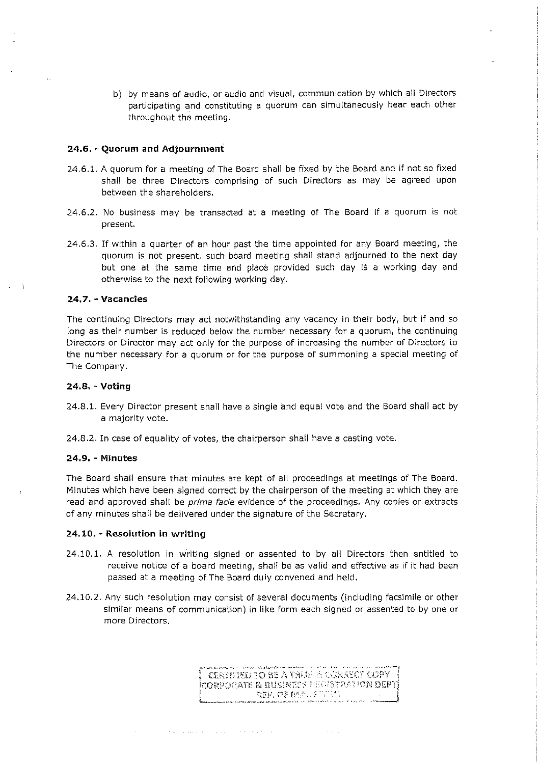b) by means of audio, or audio and visual, communication by which all Directors participating and constituting a quorum can simultaneously hear each other throughout the meeting.

## **24.6. -Quorum and Adjournment**

- 24.6.1. A quorum for a meeting of The Board shall be fixed by the Board and if not so fixed shall be three Directors comprising of such Directors as may be agreed upon between the shareholders.
- 24.6.2. No business may be transacted at a meeting of The Board if a quorum is not present.
- 24.6.3. If within a quarter of an hour past the time appointed for any Board meeting, the quorum is not present, such board meeting shall stand adjourned to the next day but one at the same time and place provided such day is a working day and otherwise to the next following working day.

#### **24.7.- Vacancies**

The continuing Directors may act notwithstanding any vacancy in their body, but if and so long as their number is reduced below the number necessary for a quorum, the continuing Directors or Director may act only for the purpose of increasing the number of Directors to the number necessary for a quorum or for the purpose of summoning a special meeting of The Company.

#### **24.8. - Voting**

- 24.8.1. Every Director present shall have a single and equal *vote* and the Board shall act by a majority *vote.*
- 24.8.2. In case of equality of votes, the chairperson shall have a casting *vote.*

#### **24.9. - Minutes**

The Board shall ensure that minutes are kept of all proceedings at meetings of The Board. Minutes which have been signed correct by the chairperson of the meeting at which they are read and approved shall be *prima facie* evidence of the proceedings. Any copies or extracts of any minutes shall be delivered under the signature of the Secretary.

## **24.10.- Resolution in writing**

- 24.10.1. A resolution in writing signed or assented to by all Directors then entitled to receive notice of a board meeting, shall be as valid and effective as if it had been passed at a meeting of The Board duly convened and held.
- 24.10.2. Any such resolution may consist of several documents (including facsimile or other similar means of communication) in like form each signed or assented to by one or more Directors.

where the contract constraints  $\mathcal{L}_\text{c}$  and  $\mathcal{L}_\text{c}$  are the contract of the  $\mathcal{L}_\text{c}$ 

!''~"' ,,\_.,\_,"·~\ ·'"''"'"'·•· ..... ·• ·- ... , ... \_,.,,-, **····•••••c·-·-;; r** ~:·i:t-.::-· r;·n~.i:.:' TOt~~ **i\ T;::;;\_;;::** .·:: ~:.\~\_::.1<-!;,i~·C'f **'CUPY** (  $|{\tt CO}$ rpocate & busheef heofferedon dept)  $RUV,$   $QF$   $MAMIS$   $VUV3$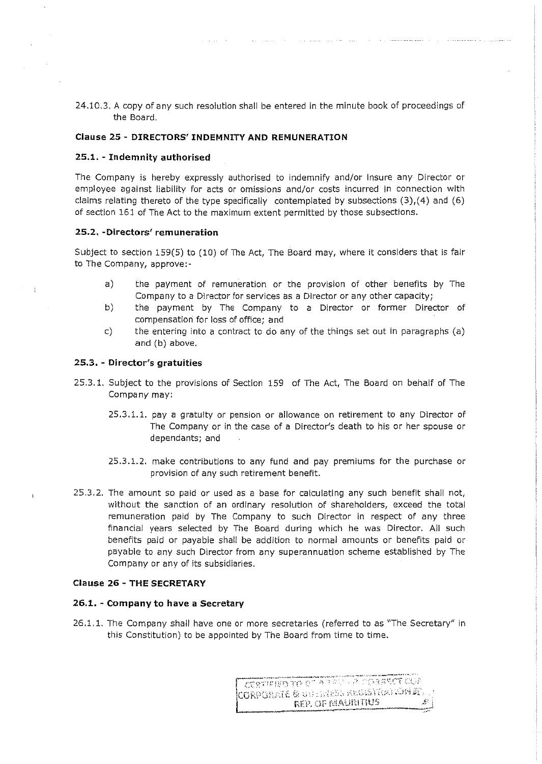24.10.3. A copy of any such resolution shall be entered in the minute book of proceedings of the Board.

## **Clause 25- DIRECTORS' INDEMNITY AND REMUNERATION**

#### **25.1.- Indemnity authorised**

The Company is hereby expressly authorised to indemnify and/or Insure any Director or employee against liability for acts or omissions and/or costs incurred in connection with claims relating thereto of the type specifically contemplated by subsections (3),(4) and (6) of section 161 of The Act to the maximum extent permitted by those subsections.

#### **25.2. -Directors' remuneration**

Subject to section 159(5) to (10) of The Act, The Board may, where it considers that is fair to The Company, approve:-

- a) the payment of remuneration or the provision of other benefits by The Company to a Director for services as a Director or any other capacity;
- b) the payment by The Company to a Director or former Director of compensation for loss of office; and
- c) the entering into a contract to do any of the things set out in paragraphs (a) and (b) above.

#### **25.3. - Director's gratuities**

-3

- 25.3.1. Subject to the provisions of Section 159 of The Act, The Board on behalf of The Company may:
	- 25.3.1.1. pay a gratuity or pension or allowance on retirement to any Director of The Company or in the case of a Director's death to his or her spouse or dependants; and
	- 25.3.1.2. make contributions to any fund and pay premiums for the purchase or provision of any such retirement benefit.
- 25.3.2. The amount so paid or used as a base for calculating any such benefit shalt not, without the sanction of an ordinary resolution of shareholders, exceed the total remuneration paid by The Company to such Director in respect of any three financial years selected by The Board during which he was Director. All such benefits paid or payable shall be addition to normal amounts or benefits paid or payable to any such Director from any superannuation scheme established by The Company or any of its subsidiaries.

#### **Clause 26- THE SECRETARY**

#### **26.1.- Company to have a Secretary**

26.1.1. The Company shall have one or more secretaries (referred to as "The Secretary" in this Constitution) to be appointed by The Board from time to time.

> **CONTRACTO OF A POLITICARY CON** CORPONATE & UNITARES ARRISTERS KONDY, REP. OF MAURITIUS  $\mathcal{B}^{\mathcal{S}}$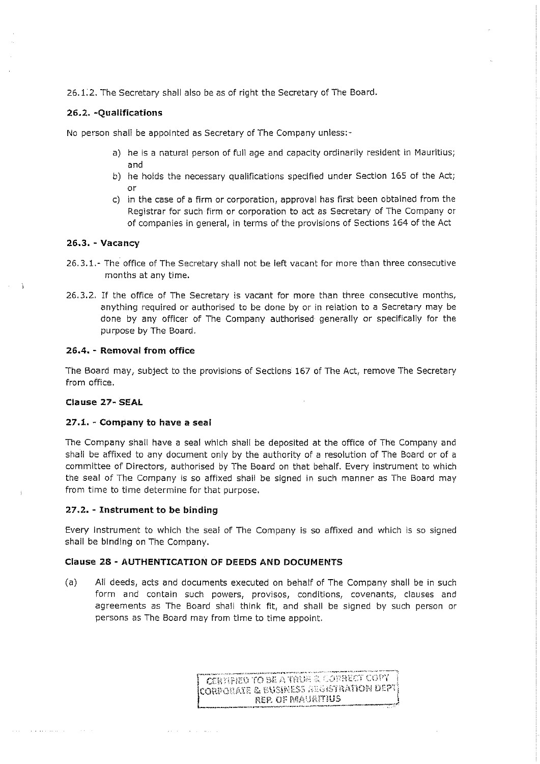26.1:2. The Secretary shall also be as of right the Secretary of The Board.

## **26.2. -Qualifications**

No person shall be appointed as Secretary of The Company unless:-

- a) he is a natural person of full age and capacity ordinarily resident in Mauritius; and
- b) he holds the necessary qualifications specified under Section 165 of the Act; or
- c) in the case of a firm or corporation, approval has first been obtained from the Registrar for such firm or corporation to act as Secretary of The Company or of companies in general, in terms of the provisions of Sections 164 of the Act

## **26.3. - Vacancy**

- 26. 3.1.- The office of The Secretary shall not be left vacant for rnore than three consecutive months at any time.
- 26.3.2. If the office of The Secretary is vacant for more than three consecutive months, anything required or authorised to be done by or in relation to a Secretary may be done by any officer of The Company authorised generally or specifically for the purpose by The Board.

## **26.4. - Removal from office**

The Board may, subject to the provisions of Sections 167 of The Act, remove The Secretary from office.

## **Clause 27· SEAL**

a series and the

#### **27.1.- Company to have a seal**

The Company shall have a seal which shall be deposited at the office of The Company and shall be affixed to any document only by the authority of a resolution of The Board or of a committee of Directors, authorised by The Board on that behalf. Every instrument to which the seal of The Company is so affixed shall be signed in such manner as The Board may from time to time determine for that purpose.

#### **27.2.- Instrument to be binding**

Every instrument to which the seal of The Company is so affixed and which is so signed shall be binding on The Company.

## **Clause 28 - AUTHENTICATION OF DEEDS AND DOCUMENTS**

 $\langle \mu \mu \rangle$  ,  $\mu \equiv \langle \mu \mu \rangle$  ,  $\mu$ 

(a) All deeds, acts and documents executed on behalf of The Company shall be in such form and contain such powers, provisos, conditions, covenants, clauses and agreements as The Board shall think fit, and shall be signed by such person or persons as The Board may from time to time appoint.

> CERTIFIED TO BE A TRUE & CORRECT COLY CORPORATE & BUSINESS ARGISTRATION DEP REP. OF MAURITIUS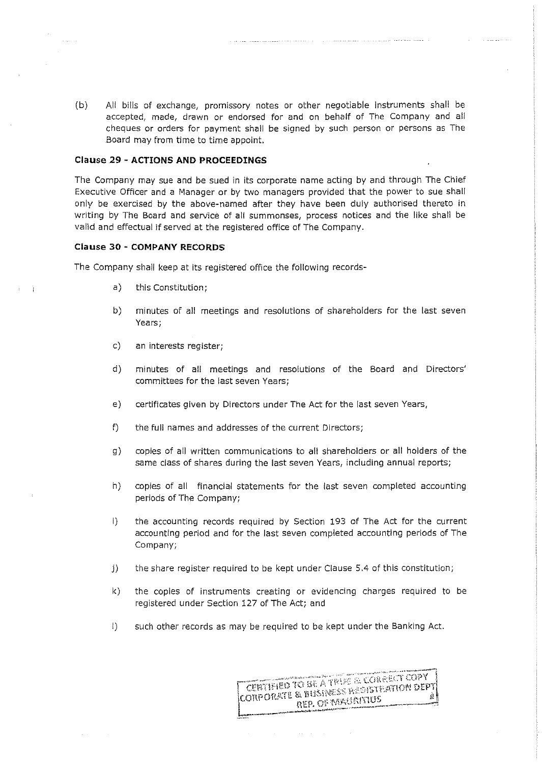(b) All bills of exchange, promissory notes or other negotiable instruments shall be accepted, made, drawn or endorsed for and on behalf of The Company and all cheques or orders for payment shall be signed by such person or persons as The Board may from time to time appoint.

## **Clause .29- ACTIONS AND PROCEEDINGS**

The Company may sue and be sued in its corporate name acting by and through The Chief Executive Officer and a Manager or by two managers provided that the power to sue shall only be exercised by the above-named after they have been duly authorised thereto in writing by The Board and service of all summonses, process notices and the like shall be valid and effectual if served at the registered office of The Company.

#### **Clause 30- COMPANY RECORDS**

The Company shall keep at its registered office the following records-

- a) this Constitution;
- b) minutes of all meetings and resolutions of shareholders for the last seven **Years;**
- c) an interests register;
- d) minutes of all meetings and resolutions of the Board and Directors' committees for the last seven Years;
- e) certificates given by Directors under The Act for the last seven Years,
- f) the full names and addresses of the current Directors;
- g) copies of all written communications to all shareholders or all holders of the same class of shares during the last seven Years, including annual reports;
- h) copies of all financial statements for the last seven completed accounting periods of The Company;
- I) the accounting records required by Section 193 of The Act for the current accounting period and for the last seven completed accounting periods of The Company;
- j) the share register required to be kept under Clause 5.4 of this constitution;
- k) the copies of instruments creating or evidencing charges required to be registered under Section 127 of The Act; and
- I) such other records as may be required to be kept under the Banking Act.

CERTIFIED TO BE A TRUE & CORRECT COPY CERTIFIED TO BE A TRUS & CONTEATION DEPT REP. OF WARRITIUS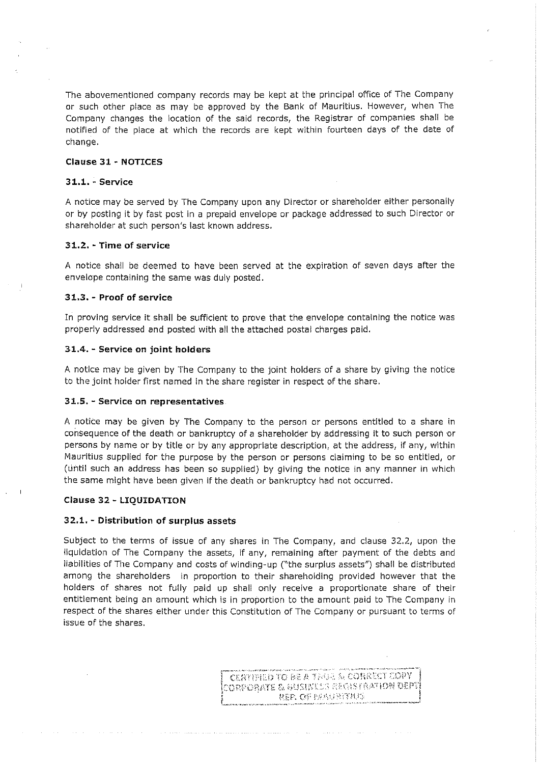The abovementioned company records may be kept at the principal office of The Company or such other place as may be approved by the Bank of Mauritius. However, when The Company changes the location of the said records, the Registrar of companies shall be notified of the place at which the records are kept within fourteen days of the date of change.

#### **Clause 31 - NOTICES**

#### **31.1.- Service**

A notice may be served by The Company upon any Director or shareholder either personally or by posting it by fast post in a prepaid envelope or package addressed to such Director or shareholder at such person's last known address.

## **31.2. -Time of service**

A notice shall be deemed to have been served at the expiration of seven days after the envelope containing the same was duly posted.

## **31.3.- Proof of service**

In proving service it shall be sufficient to prove that the envelope containing the notice was properly addressed and posted with all the attached postal charges paid.

#### **31.4. - Service on joint holders**

A notice may be given by The Company to the joint holders of a share by giving the notice to the joint holder first named in the share register in respect of the share.

#### **31.5.- Service on representatives**

A notice may be given by The Company to the person or persons entitled to a share in consequence of the death or bankruptcy of a shareholder by addressing it to such person or persons by name or by title or by any appropriate description, at the address, if any, within Mauritius supplied for the purpose by the person or persons claiming to be so entitled, or (until such an address has been so supplied) by giving the notice in any manner in which the same might have been given if the death or bankruptcy had not occurred.

## **Clause 32- LIQUIDATION**

#### **32.1.- Distribution of surplus assets**

Subject to the terms of issue of any shares in The Company, and clause 32.2, upon the liquidation of The Company the assets, if any, remaining after payment of the debts and liabilities of The Company and costs of winding-up ("the surplus assets") shall be distributed among the shareholders in proportion to their shareholding provided however that the holders of shares not fully paid up shall only receive a proportionate share of their entitlement being an amount which is in proportion to the amount paid to The Company in respect of the shares either under this Constitution of The Company or pursuant to terms of issue of the shares.

> CENTIFIED TO BE A TREE & CORRECT COPY  $\tilde{\mathfrak{so}}$ rpane & Guerves registration dept $\tilde{\mathfrak{g}}$ 一封窑的 口手 经风险营养转换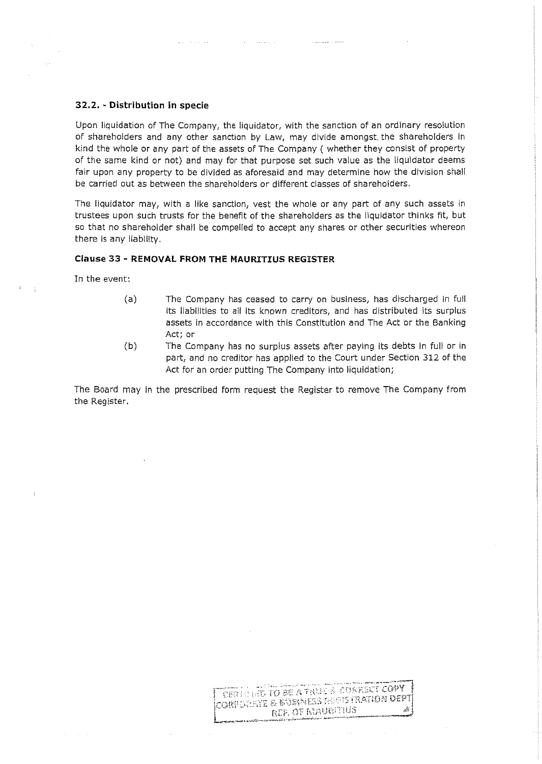## **32.2. • Distribution In specie**

Upon liquidation of The Company, the liquidator, with the sanction of an ordinary resolution of shareholders and any other sanction by Law, may divide amongst, the shareholders in kind the whole or any part of the assets of The Company ( whether they consist of property of the same kind or not) and may for that purpose set such value as the liquidator deems fair upon any property to be divided as aforesaid and may determine how the division shall be carried out as between the shareholders or different classes of shareholders.

The liquidator may, with a like sanction, vest the whole or any part of any such assets in trustees upon such trusts for the benefit of the shareholders as the liquidator thinks fit, but so that no shareholder shall be compelled to accept any shares or other securities whereon there is any liability.

## **Clause 33- REMOVAL FROM THE MAURITIUS REGISTER**

and the state and

In the event:

- (a) The Company has ceased to carry on business, has discharged in full its liabilities to all its known creditors, and has distributed its surplus assets in accordance with this Constitution and The Act or the Banking Act; or
- (b) The Company has no surplus assets after paying its debts in full or in part, and no creditor has applied to the Court under Section 312 of the Act for an order putting The Company into liquidation;

The Board may in the prescribed form request the Register to remove The Company from the Register.

> **CENTO AND BE A TANK & CORRECT COPY** CENTORE & BUSINESS REGISTRATION OCPT REP. OF MAURITUS